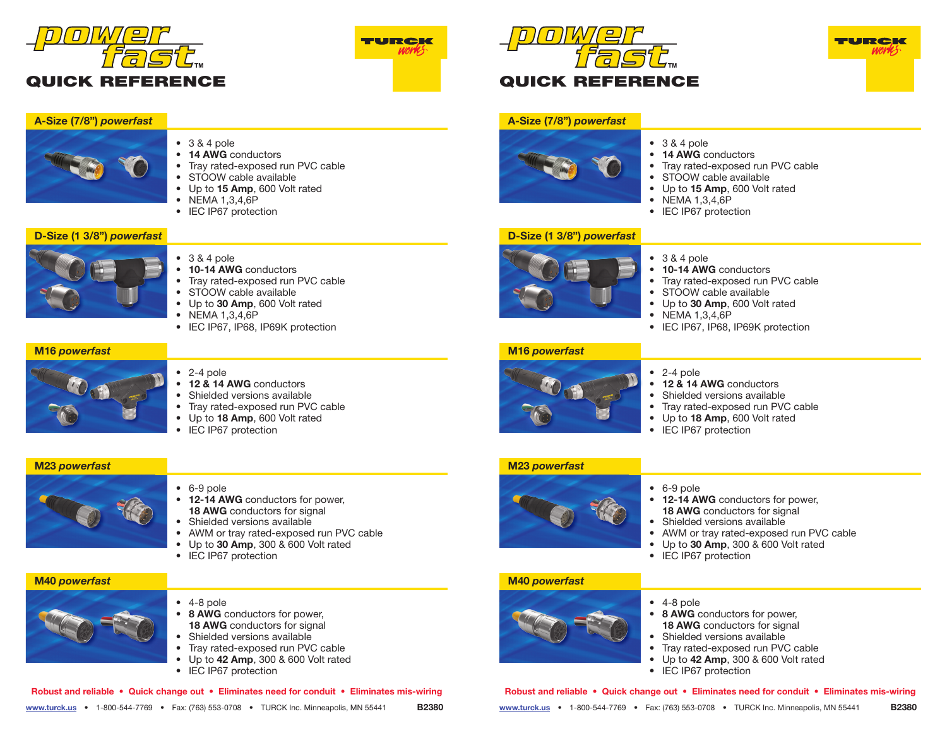



# **A-Size (7/8")** *powerfast*



- 3 & 4 pole
- **14 AWG** conductors
- Tray rated-exposed run PVC cable
- STOOW cable available
- Up to **15 Amp**, 600 Volt rated
- NEMA 1,3,4,6P
- **IEC IP67 protection**

## **D-Size (1 3/8")** *powerfast*



- 3 & 4 pole
- **10-14 AWG** conductors
- Tray rated-exposed run PVC cable
- STOOW cable available
- Up to **30 Amp**, 600 Volt rated
- NEMA 1,3,4,6P
- IEC IP67, IP68, IP69K protection

#### **M16** *powerfast*



- 2-4 pole
- **12 & 14 AWG** conductors
- Shielded versions available
- Tray rated-exposed run PVC cable
- Up to **18 Amp**, 600 Volt rated
- IEC IP67 protection

### **M23** *powerfast*



- 6-9 pole
- **12-14 AWG** conductors for power, **18 AWG** conductors for signal
- Shielded versions available
- AWM or tray rated-exposed run PVC cable
- Up to **30 Amp**, 300 & 600 Volt rated
- IEC IP67 protection



- 4-8 pole
- 8 AWG conductors for power, **18 AWG** conductors for signal
- Shielded versions available
- Tray rated-exposed run PVC cable
- Up to **42 Amp**, 300 & 600 Volt rated
- IEC IP67 protection

|  |  |  | Robust and reliable • Quick change out • Eliminates need for conduit • Eliminates mis-wiring |              |
|--|--|--|----------------------------------------------------------------------------------------------|--------------|
|  |  |  | www.turck.us • 1-800-544-7769 • Fax: (763) 553-0708 • TURCK Inc. Minneapolis, MN 55441       | <b>B2380</b> |